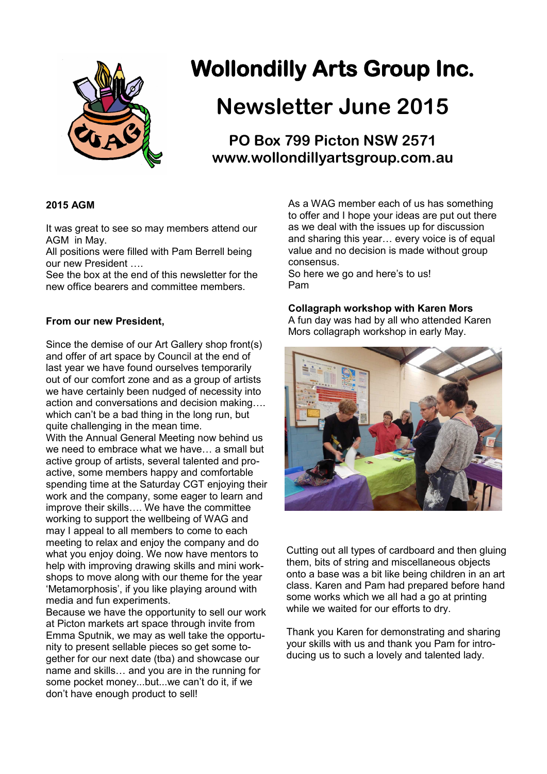

# **Wollondilly Arts Group Inc.**

## **Newsletter June 2015**

**PO Box 799 Picton NSW 2571 www.wollondillyartsgroup.com.au**

#### **2015 AGM**

It was great to see so may members attend our AGM in May.

All positions were filled with Pam Berrell being our new President ….

See the box at the end of this newsletter for the new office bearers and committee members.

#### **From our new President,**

Since the demise of our Art Gallery shop front(s) and offer of art space by Council at the end of last year we have found ourselves temporarily out of our comfort zone and as a group of artists we have certainly been nudged of necessity into action and conversations and decision making…. which can't be a bad thing in the long run, but quite challenging in the mean time. With the Annual General Meeting now behind us we need to embrace what we have… a small but active group of artists, several talented and proactive, some members happy and comfortable spending time at the Saturday CGT enjoying their work and the company, some eager to learn and improve their skills…. We have the committee working to support the wellbeing of WAG and may I appeal to all members to come to each meeting to relax and enjoy the company and do what you enjoy doing. We now have mentors to help with improving drawing skills and mini workshops to move along with our theme for the year 'Metamorphosis', if you like playing around with media and fun experiments.

Because we have the opportunity to sell our work at Picton markets art space through invite from Emma Sputnik, we may as well take the opportunity to present sellable pieces so get some together for our next date (tba) and showcase our name and skills… and you are in the running for some pocket money...but...we can't do it, if we don't have enough product to sell!

As a WAG member each of us has something to offer and I hope your ideas are put out there as we deal with the issues up for discussion and sharing this year… every voice is of equal value and no decision is made without group consensus.

So here we go and here's to us! Pam

#### **Collagraph workshop with Karen Mors**

A fun day was had by all who attended Karen Mors collagraph workshop in early May.



Cutting out all types of cardboard and then gluing them, bits of string and miscellaneous objects onto a base was a bit like being children in an art class. Karen and Pam had prepared before hand some works which we all had a go at printing while we waited for our efforts to dry.

Thank you Karen for demonstrating and sharing your skills with us and thank you Pam for introducing us to such a lovely and talented lady.